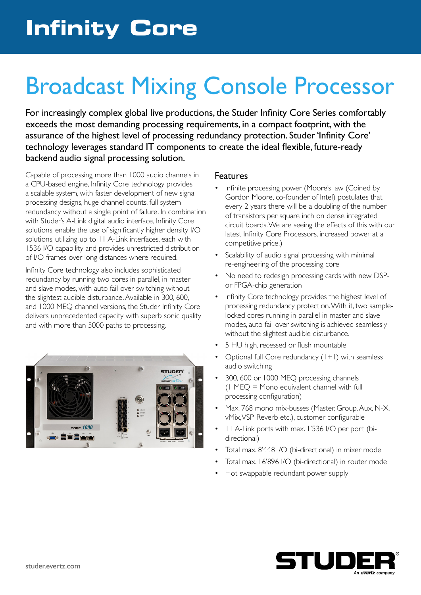## Broadcast Mixing Console Processor

For increasingly complex global live productions, the Studer Infinity Core Series comfortably exceeds the most demanding processing requirements, in a compact footprint, with the assurance of the highest level of processing redundancy protection. Studer 'Infinity Core' technology leverages standard IT components to create the ideal flexible, future-ready backend audio signal processing solution.

Capable of processing more than 1000 audio channels in a CPU-based engine, Infinity Core technology provides a scalable system, with faster development of new signal processing designs, huge channel counts, full system redundancy without a single point of failure. In combination with Studer's A-Link digital audio interface, Infinity Core solutions, enable the use of significantly higher density I/O solutions, utilizing up to 11 A-Link interfaces, each with 1536 I/O capability and provides unrestricted distribution of I/O frames over long distances where required.

Infinity Core technology also includes sophisticated redundancy by running two cores in parallel, in master and slave modes, with auto fail-over switching without the slightest audible disturbance. Available in 300, 600, and 1000 MEQ channel versions, the Studer Infinity Core delivers unprecedented capacity with superb sonic quality and with more than 5000 paths to processing.



#### Features

- Infinite processing power (Moore's law (Coined by Gordon Moore, co-founder of Intel) postulates that every 2 years there will be a doubling of the number of transistors per square inch on dense integrated circuit boards. We are seeing the effects of this with our latest Infinity Core Processors, increased power at a competitive price.)
- Scalability of audio signal processing with minimal re-engineering of the processing core
- No need to redesign processing cards with new DSPor FPGA-chip generation
- Infinity Core technology provides the highest level of processing redundancy protection. With it, two samplelocked cores running in parallel in master and slave modes, auto fail-over switching is achieved seamlessly without the slightest audible disturbance.
- 5 HU high, recessed or flush mountable
- Optional full Core redundancy  $(1+1)$  with seamless audio switching
- 300, 600 or 1000 MEQ processing channels  $(1 \text{ MEQ} = \text{Mono equivalent channel with full})$ processing configuration)
- Max. 768 mono mix-busses (Master, Group, Aux, N-X, vMix, VSP-Reverb etc.), customer configurable
- 11 A-Link ports with max. 1'536 I/O per port (bidirectional)
- Total max. 8'448 I/O (bi-directional) in mixer mode
- Total max. 16'896 I/O (bi-directional) in router mode
- Hot swappable redundant power supply